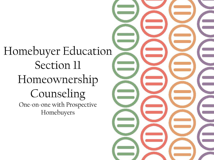Homebuyer Education Section 11 Homeownership Counseling One-on-one with Prospective Homebuyers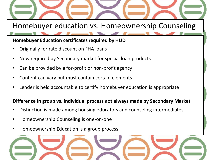Homebuyer education vs. Homeownership Counseling

### **Homebuyer Education certificates required by HUD**

- Originally for rate discount on FHA loans
- Now required by Secondary market for special loan products
- Can be provided by a for-profit or non-profit agency
- Content can vary but must contain certain elements
- Lender is held accountable to certify homebuyer education is appropriate

### **Difference in group vs. individual process not always made by Secondary Market**

- Distinction is made among housing educators and counseling intermediates
- Homeownership Counseling is one-on-one
- Homeownership Education is a group process

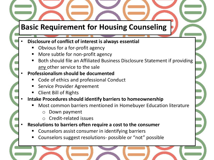# **Basic Requirement for Housing Counseling**

### • **Disclosure of conflict of interest is always essential**

- Obvious for a for-profit agency
- More subtle for non-profit agency
- Both should file an Affiliated Business Disclosure Statement if providing any other service to the sale

## • **Professionalism should be documented**

- Code of ethics and professional Conduct
- Service Provider Agreement
- Client Bill of Rights

### • **Intake Procedures should identify barriers to homeownership**

- Most common barriers mentioned in Homebuyer Education literature
	- o Down payment
	- o Credit-related issues
- **Resolutions to barriers often require a cost to the consumer** 
	- Counselors assist consumer in identifying barriers
	- Counselors suggest resolutions- possible or "not" possible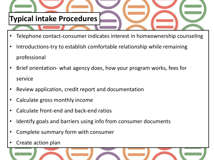

- Telephone contact-consumer indicates interest in homeownership counseling
- Introductions-try to establish comfortable relationship while remaining professional
- Brief orientation- what agency does, how your program works, fees for service
- Review application, credit report and documentation
- Calculate gross monthly income
- Calculate front-end and back-end ratios
- Identify goals and barriers using info from consumer documents
- Complete summary form with consumer
- Create action plan

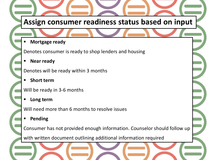# **Assign consumer readiness status based on input**

**Mortgage ready** 

Denotes consumer is ready to shop lenders and housing

**Near ready**

Denotes will be ready within 3 months

**Short term**

Will be ready in 3-6 months

**Long term**

Will need more than 6 months to resolve issues

**Pending**

Consumer has not provided enough information. Counselor should follow up

with written document outlining additional information required